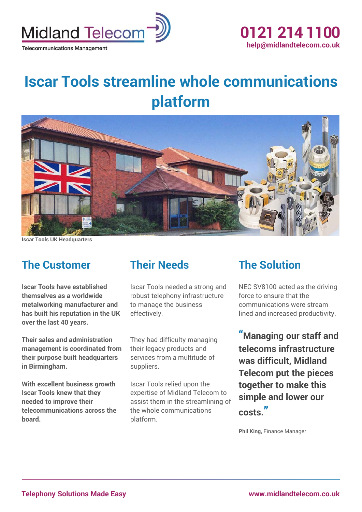

# **Iscar Tools streamline whole communications platform**



**Iscar Tools UK Headquarters**

#### **The Customer**

**Iscar Tools have established themselves as a worldwide metalworking manufacturer and has built his reputation in the UK over the last 40 years.**

**Their sales and administration management is coordinated from their purpose built headquarters in Birmingham.**

**With excellent business growth Iscar Tools knew that they needed to improve their telecommunications across the board.**

#### **Their Needs**

Iscar Tools needed a strong and robust telephony infrastructure to manage the business effectively.

They had difficulty managing their legacy products and services from a multitude of suppliers.

Iscar Tools relied upon the expertise of Midland Telecom to assist them in the streamlining of the whole communications platform.

#### **The Solution**

NEC SV8100 acted as the driving force to ensure that the communications were stream lined and increased productivity.

**"Managing our staff and telecoms infrastructure was difficult, Midland Telecom put the pieces together to make this simple and lower our costs. "**

**Phil King,** Finance Manager